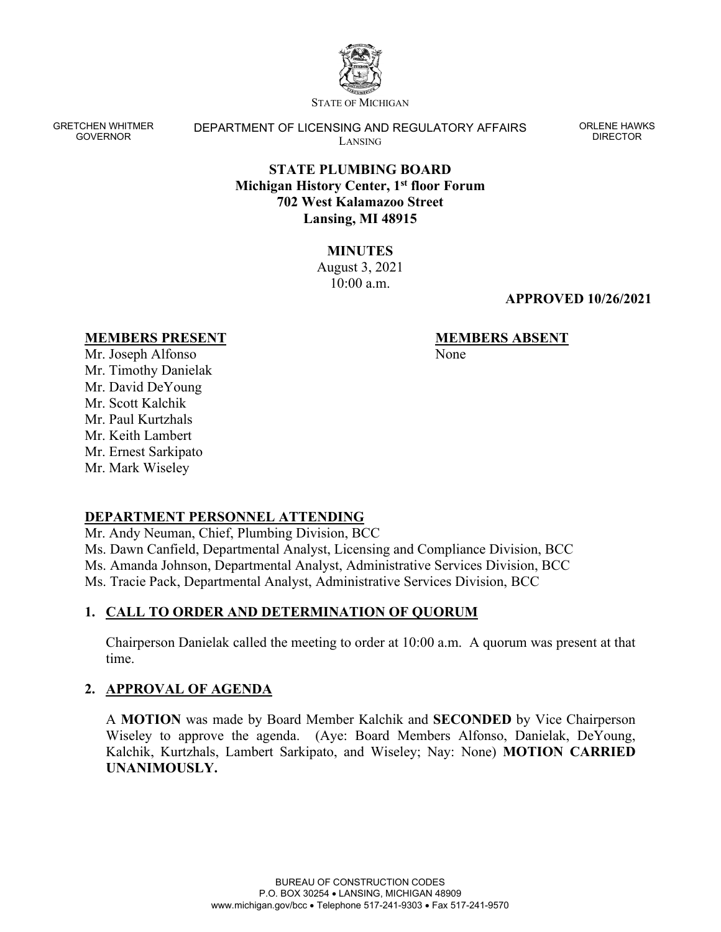

STATE OF MICHIGAN

GRETCHEN WHITMER GOVERNOR

DEPARTMENT OF LICENSING AND REGULATORY AFFAIRS LANSING

ORLENE HAWKS DIRECTOR

## **STATE PLUMBING BOARD Michigan History Center, 1st floor Forum 702 West Kalamazoo Street Lansing, MI 48915**

**MINUTES**  August 3, 2021  $10:00$  a.m.

#### **APPROVED 10/26/2021**

#### **MEMBERS PRESENT**

**MEMBERS ABSENT** None

Mr. Joseph Alfonso Mr. Timothy Danielak Mr. David DeYoung Mr. Scott Kalchik Mr. Paul Kurtzhals Mr. Keith Lambert Mr. Ernest Sarkipato Mr. Mark Wiseley

# **DEPARTMENT PERSONNEL ATTENDING**

Mr. Andy Neuman, Chief, Plumbing Division, BCC Ms. Dawn Canfield, Departmental Analyst, Licensing and Compliance Division, BCC Ms. Amanda Johnson, Departmental Analyst, Administrative Services Division, BCC Ms. Tracie Pack, Departmental Analyst, Administrative Services Division, BCC

# **1. CALL TO ORDER AND DETERMINATION OF QUORUM**

Chairperson Danielak called the meeting to order at 10:00 a.m. A quorum was present at that time.

# **2. APPROVAL OF AGENDA**

A **MOTION** was made by Board Member Kalchik and **SECONDED** by Vice Chairperson Wiseley to approve the agenda. (Aye: Board Members Alfonso, Danielak, DeYoung, Kalchik, Kurtzhals, Lambert Sarkipato, and Wiseley; Nay: None) **MOTION CARRIED UNANIMOUSLY.**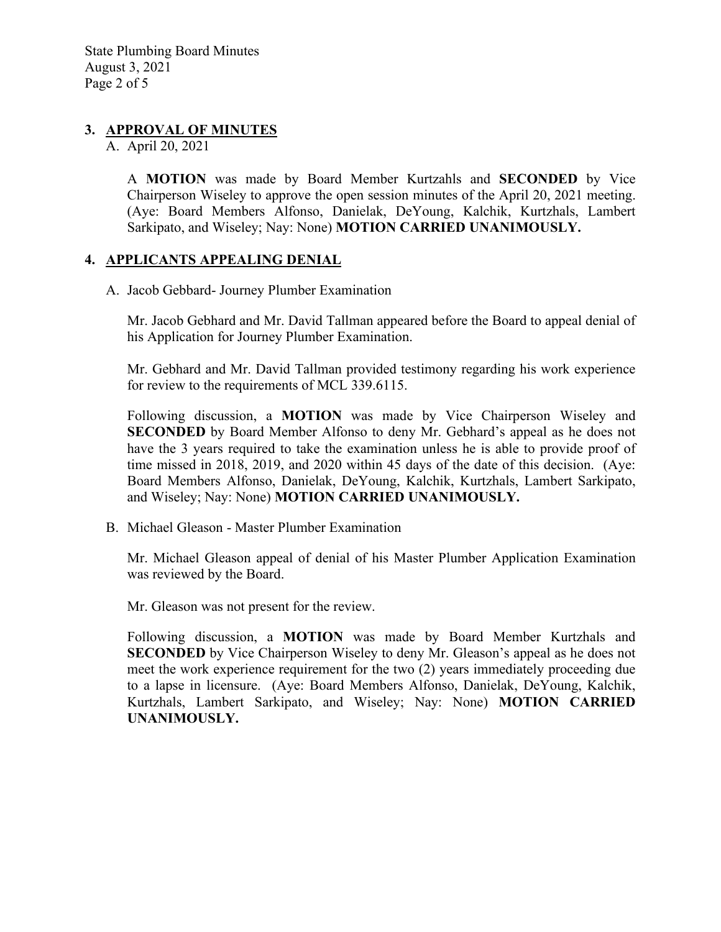# **3. APPROVAL OF MINUTES**

A. April 20, 2021

A **MOTION** was made by Board Member Kurtzahls and **SECONDED** by Vice Chairperson Wiseley to approve the open session minutes of the April 20, 2021 meeting. (Aye: Board Members Alfonso, Danielak, DeYoung, Kalchik, Kurtzhals, Lambert Sarkipato, and Wiseley; Nay: None) **MOTION CARRIED UNANIMOUSLY.**

### **4. APPLICANTS APPEALING DENIAL**

A. Jacob Gebbard- Journey Plumber Examination

Mr. Jacob Gebhard and Mr. David Tallman appeared before the Board to appeal denial of his Application for Journey Plumber Examination.

Mr. Gebhard and Mr. David Tallman provided testimony regarding his work experience for review to the requirements of MCL 339.6115.

Following discussion, a **MOTION** was made by Vice Chairperson Wiseley and **SECONDED** by Board Member Alfonso to deny Mr. Gebhard's appeal as he does not have the 3 years required to take the examination unless he is able to provide proof of time missed in 2018, 2019, and 2020 within 45 days of the date of this decision. (Aye: Board Members Alfonso, Danielak, DeYoung, Kalchik, Kurtzhals, Lambert Sarkipato, and Wiseley; Nay: None) **MOTION CARRIED UNANIMOUSLY.**

B. Michael Gleason - Master Plumber Examination

Mr. Michael Gleason appeal of denial of his Master Plumber Application Examination was reviewed by the Board.

Mr. Gleason was not present for the review.

Following discussion, a **MOTION** was made by Board Member Kurtzhals and **SECONDED** by Vice Chairperson Wiseley to deny Mr. Gleason's appeal as he does not meet the work experience requirement for the two (2) years immediately proceeding due to a lapse in licensure. (Aye: Board Members Alfonso, Danielak, DeYoung, Kalchik, Kurtzhals, Lambert Sarkipato, and Wiseley; Nay: None) **MOTION CARRIED UNANIMOUSLY.**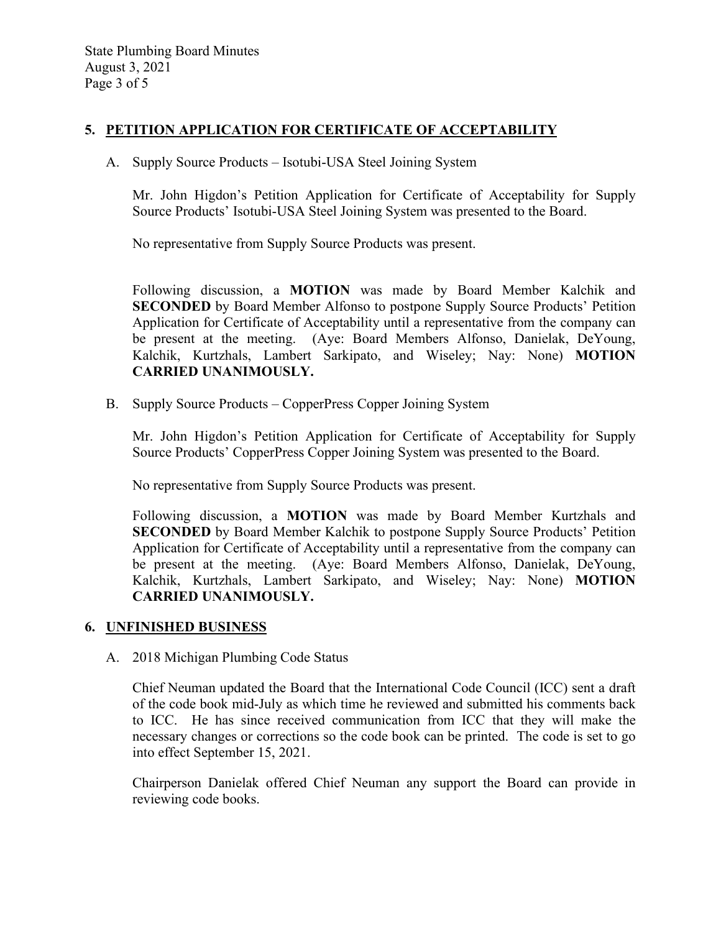# **5. PETITION APPLICATION FOR CERTIFICATE OF ACCEPTABILITY**

A. Supply Source Products – Isotubi-USA Steel Joining System

Mr. John Higdon's Petition Application for Certificate of Acceptability for Supply Source Products' Isotubi-USA Steel Joining System was presented to the Board.

No representative from Supply Source Products was present.

Following discussion, a **MOTION** was made by Board Member Kalchik and **SECONDED** by Board Member Alfonso to postpone Supply Source Products' Petition Application for Certificate of Acceptability until a representative from the company can be present at the meeting. (Aye: Board Members Alfonso, Danielak, DeYoung, Kalchik, Kurtzhals, Lambert Sarkipato, and Wiseley; Nay: None) **MOTION CARRIED UNANIMOUSLY.**

B. Supply Source Products – CopperPress Copper Joining System

Mr. John Higdon's Petition Application for Certificate of Acceptability for Supply Source Products' CopperPress Copper Joining System was presented to the Board.

No representative from Supply Source Products was present.

Following discussion, a **MOTION** was made by Board Member Kurtzhals and **SECONDED** by Board Member Kalchik to postpone Supply Source Products' Petition Application for Certificate of Acceptability until a representative from the company can be present at the meeting. (Aye: Board Members Alfonso, Danielak, DeYoung, Kalchik, Kurtzhals, Lambert Sarkipato, and Wiseley; Nay: None) **MOTION CARRIED UNANIMOUSLY.**

#### **6. UNFINISHED BUSINESS**

A. 2018 Michigan Plumbing Code Status

Chief Neuman updated the Board that the International Code Council (ICC) sent a draft of the code book mid-July as which time he reviewed and submitted his comments back to ICC. He has since received communication from ICC that they will make the necessary changes or corrections so the code book can be printed. The code is set to go into effect September 15, 2021.

Chairperson Danielak offered Chief Neuman any support the Board can provide in reviewing code books.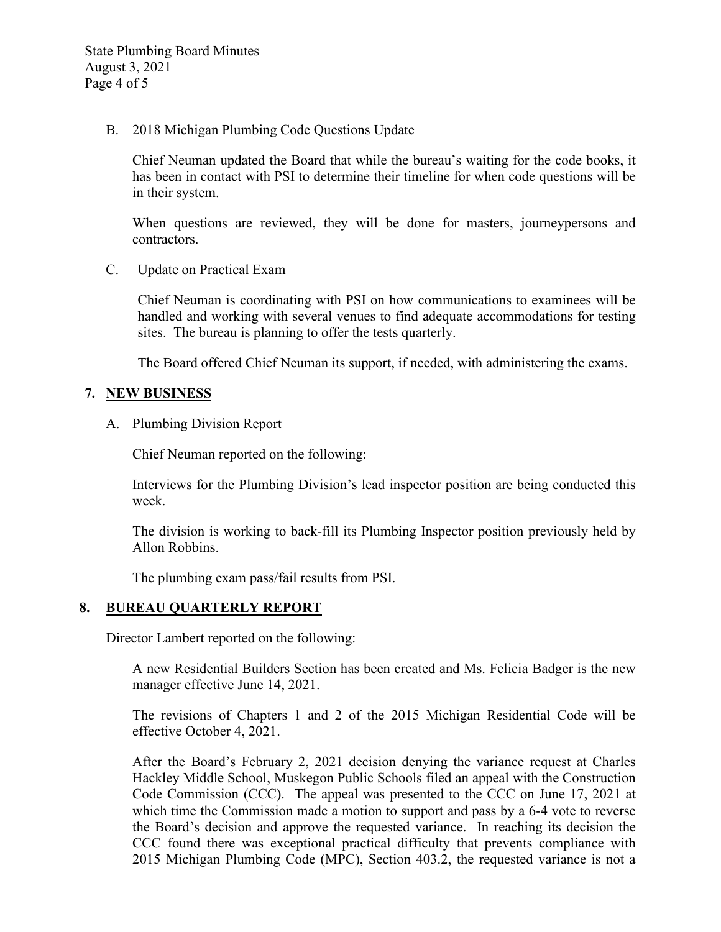State Plumbing Board Minutes August 3, 2021 Page 4 of 5

B. 2018 Michigan Plumbing Code Questions Update

Chief Neuman updated the Board that while the bureau's waiting for the code books, it has been in contact with PSI to determine their timeline for when code questions will be in their system.

When questions are reviewed, they will be done for masters, journeypersons and contractors.

C. Update on Practical Exam

Chief Neuman is coordinating with PSI on how communications to examinees will be handled and working with several venues to find adequate accommodations for testing sites. The bureau is planning to offer the tests quarterly.

The Board offered Chief Neuman its support, if needed, with administering the exams.

### **7. NEW BUSINESS**

A. Plumbing Division Report

Chief Neuman reported on the following:

Interviews for the Plumbing Division's lead inspector position are being conducted this week.

The division is working to back-fill its Plumbing Inspector position previously held by Allon Robbins.

The plumbing exam pass/fail results from PSI.

#### **8. BUREAU QUARTERLY REPORT**

Director Lambert reported on the following:

A new Residential Builders Section has been created and Ms. Felicia Badger is the new manager effective June 14, 2021.

The revisions of Chapters 1 and 2 of the 2015 Michigan Residential Code will be effective October 4, 2021.

After the Board's February 2, 2021 decision denying the variance request at Charles Hackley Middle School, Muskegon Public Schools filed an appeal with the Construction Code Commission (CCC). The appeal was presented to the CCC on June 17, 2021 at which time the Commission made a motion to support and pass by a 6-4 vote to reverse the Board's decision and approve the requested variance. In reaching its decision the CCC found there was exceptional practical difficulty that prevents compliance with 2015 Michigan Plumbing Code (MPC), Section 403.2, the requested variance is not a